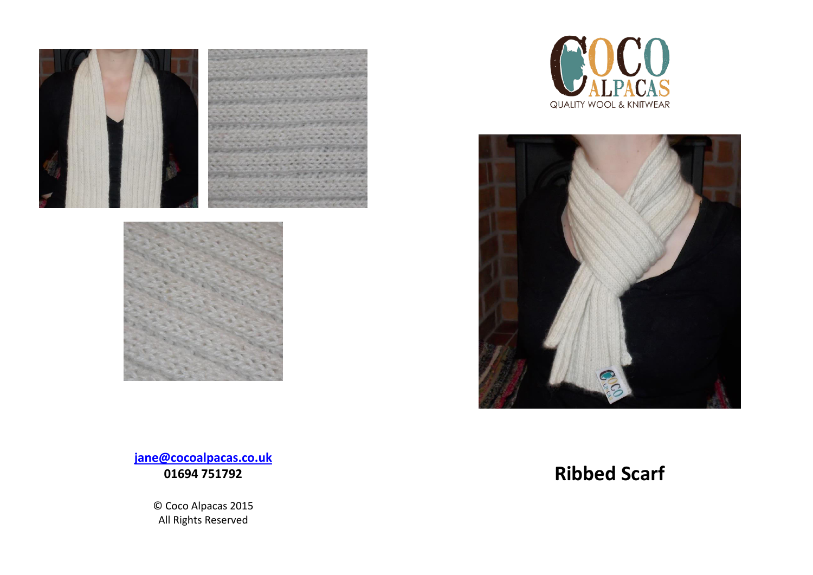



 $\gamma$ QUALITY WOOL & KNITWEAR



**[jane@cocoalpacas.co.uk](mailto:jane@cocoalpacas.co.uk) 01694 751792** 

> © Coco Alpacas 2015 All Rights Reserved

# **Ribbed Scarf**